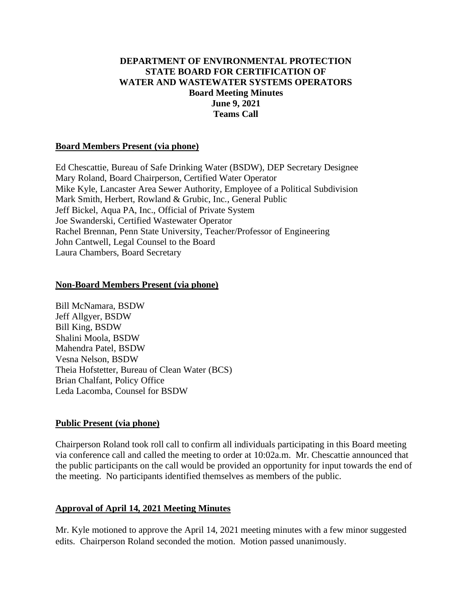## **DEPARTMENT OF ENVIRONMENTAL PROTECTION STATE BOARD FOR CERTIFICATION OF WATER AND WASTEWATER SYSTEMS OPERATORS Board Meeting Minutes June 9, 2021 Teams Call**

#### **Board Members Present (via phone)**

Ed Chescattie, Bureau of Safe Drinking Water (BSDW), DEP Secretary Designee Mary Roland, Board Chairperson, Certified Water Operator Mike Kyle, Lancaster Area Sewer Authority, Employee of a Political Subdivision Mark Smith, Herbert, Rowland & Grubic, Inc., General Public Jeff Bickel, Aqua PA, Inc., Official of Private System Joe Swanderski, Certified Wastewater Operator Rachel Brennan, Penn State University, Teacher/Professor of Engineering John Cantwell, Legal Counsel to the Board Laura Chambers, Board Secretary

#### **Non-Board Members Present (via phone)**

Bill McNamara, BSDW Jeff Allgyer, BSDW Bill King, BSDW Shalini Moola, BSDW Mahendra Patel, BSDW Vesna Nelson, BSDW Theia Hofstetter, Bureau of Clean Water (BCS) Brian Chalfant, Policy Office Leda Lacomba, Counsel for BSDW

#### **Public Present (via phone)**

Chairperson Roland took roll call to confirm all individuals participating in this Board meeting via conference call and called the meeting to order at 10:02a.m. Mr. Chescattie announced that the public participants on the call would be provided an opportunity for input towards the end of the meeting. No participants identified themselves as members of the public.

#### **Approval of April 14, 2021 Meeting Minutes**

Mr. Kyle motioned to approve the April 14, 2021 meeting minutes with a few minor suggested edits. Chairperson Roland seconded the motion. Motion passed unanimously.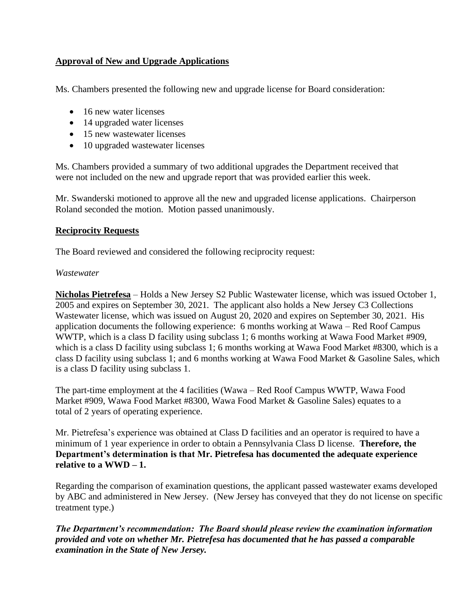# **Approval of New and Upgrade Applications**

Ms. Chambers presented the following new and upgrade license for Board consideration:

- 16 new water licenses
- 14 upgraded water licenses
- 15 new wastewater licenses
- 10 upgraded wastewater licenses

Ms. Chambers provided a summary of two additional upgrades the Department received that were not included on the new and upgrade report that was provided earlier this week.

Mr. Swanderski motioned to approve all the new and upgraded license applications. Chairperson Roland seconded the motion. Motion passed unanimously.

### **Reciprocity Requests**

The Board reviewed and considered the following reciprocity request:

### *Wastewater*

**Nicholas Pietrefesa** – Holds a New Jersey S2 Public Wastewater license, which was issued October 1, 2005 and expires on September 30, 2021. The applicant also holds a New Jersey C3 Collections Wastewater license, which was issued on August 20, 2020 and expires on September 30, 2021. His application documents the following experience: 6 months working at Wawa – Red Roof Campus WWTP, which is a class D facility using subclass 1; 6 months working at Wawa Food Market #909, which is a class D facility using subclass 1; 6 months working at Wawa Food Market #8300, which is a class D facility using subclass 1; and 6 months working at Wawa Food Market & Gasoline Sales, which is a class D facility using subclass 1.

The part-time employment at the 4 facilities (Wawa – Red Roof Campus WWTP, Wawa Food Market #909, Wawa Food Market #8300, Wawa Food Market & Gasoline Sales) equates to a total of 2 years of operating experience.

Mr. Pietrefesa's experience was obtained at Class D facilities and an operator is required to have a minimum of 1 year experience in order to obtain a Pennsylvania Class D license. **Therefore, the Department's determination is that Mr. Pietrefesa has documented the adequate experience**  relative to a  $WWD - 1$ .

Regarding the comparison of examination questions, the applicant passed wastewater exams developed by ABC and administered in New Jersey. (New Jersey has conveyed that they do not license on specific treatment type.)

*The Department's recommendation: The Board should please review the examination information provided and vote on whether Mr. Pietrefesa has documented that he has passed a comparable examination in the State of New Jersey.*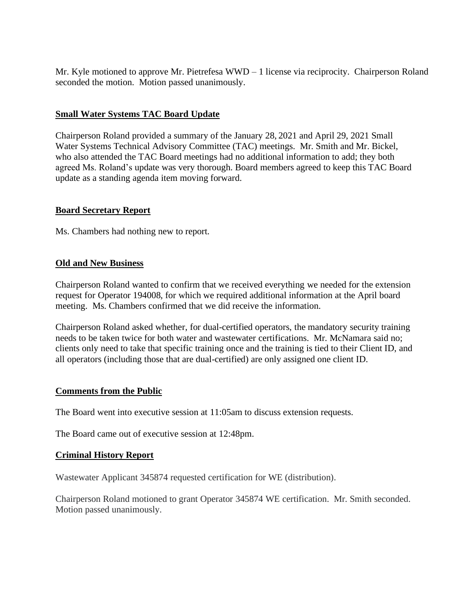Mr. Kyle motioned to approve Mr. Pietrefesa WWD – 1 license via reciprocity. Chairperson Roland seconded the motion. Motion passed unanimously.

### **Small Water Systems TAC Board Update**

Chairperson Roland provided a summary of the January 28, 2021 and April 29, 2021 Small Water Systems Technical Advisory Committee (TAC) meetings. Mr. Smith and Mr. Bickel, who also attended the TAC Board meetings had no additional information to add; they both agreed Ms. Roland's update was very thorough. Board members agreed to keep this TAC Board update as a standing agenda item moving forward.

### **Board Secretary Report**

Ms. Chambers had nothing new to report.

### **Old and New Business**

Chairperson Roland wanted to confirm that we received everything we needed for the extension request for Operator 194008, for which we required additional information at the April board meeting. Ms. Chambers confirmed that we did receive the information.

Chairperson Roland asked whether, for dual-certified operators, the mandatory security training needs to be taken twice for both water and wastewater certifications. Mr. McNamara said no; clients only need to take that specific training once and the training is tied to their Client ID, and all operators (including those that are dual-certified) are only assigned one client ID.

## **Comments from the Public**

The Board went into executive session at 11:05am to discuss extension requests.

The Board came out of executive session at 12:48pm.

#### **Criminal History Report**

Wastewater Applicant 345874 requested certification for WE (distribution).

Chairperson Roland motioned to grant Operator 345874 WE certification. Mr. Smith seconded. Motion passed unanimously.